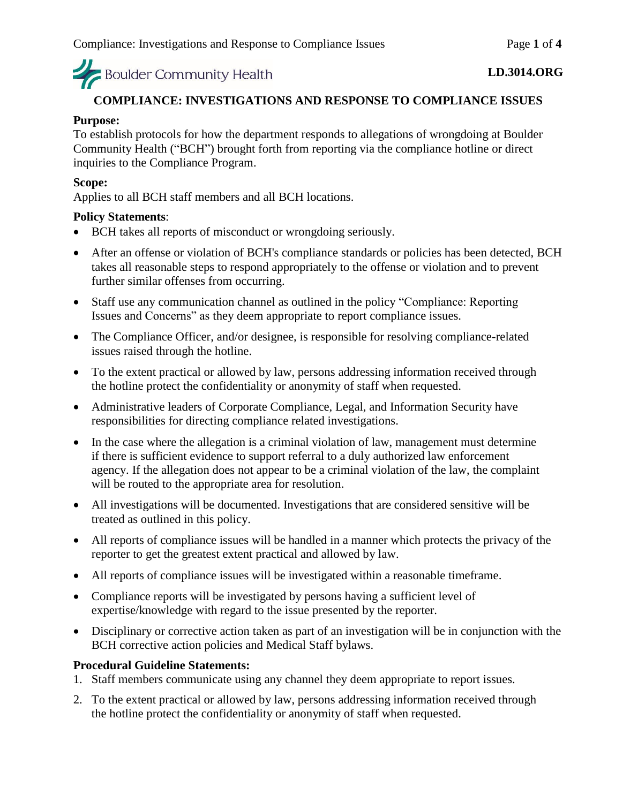#### **COMPLIANCE: INVESTIGATIONS AND RESPONSE TO COMPLIANCE ISSUES**

#### **Purpose:**

To establish protocols for how the department responds to allegations of wrongdoing at Boulder Community Health ("BCH") brought forth from reporting via the compliance hotline or direct inquiries to the Compliance Program.

#### **Scope:**

Applies to all BCH staff members and all BCH locations.

#### **Policy Statements**:

- BCH takes all reports of misconduct or wrongdoing seriously.
- After an offense or violation of BCH's compliance standards or policies has been detected, BCH takes all reasonable steps to respond appropriately to the offense or violation and to prevent further similar offenses from occurring.
- Staff use any communication channel as outlined in the policy "Compliance: Reporting Issues and Concerns" as they deem appropriate to report compliance issues.
- The Compliance Officer, and/or designee, is responsible for resolving compliance-related issues raised through the hotline.
- To the extent practical or allowed by law, persons addressing information received through the hotline protect the confidentiality or anonymity of staff when requested.
- Administrative leaders of Corporate Compliance, Legal, and Information Security have responsibilities for directing compliance related investigations.
- In the case where the allegation is a criminal violation of law, management must determine if there is sufficient evidence to support referral to a duly authorized law enforcement agency. If the allegation does not appear to be a criminal violation of the law, the complaint will be routed to the appropriate area for resolution.
- All investigations will be documented. Investigations that are considered sensitive will be treated as outlined in this policy.
- All reports of compliance issues will be handled in a manner which protects the privacy of the reporter to get the greatest extent practical and allowed by law.
- All reports of compliance issues will be investigated within a reasonable timeframe.
- Compliance reports will be investigated by persons having a sufficient level of expertise/knowledge with regard to the issue presented by the reporter.
- Disciplinary or corrective action taken as part of an investigation will be in conjunction with the BCH corrective action policies and Medical Staff bylaws.

#### **Procedural Guideline Statements:**

- 1. Staff members communicate using any channel they deem appropriate to report issues.
- 2. To the extent practical or allowed by law, persons addressing information received through the hotline protect the confidentiality or anonymity of staff when requested.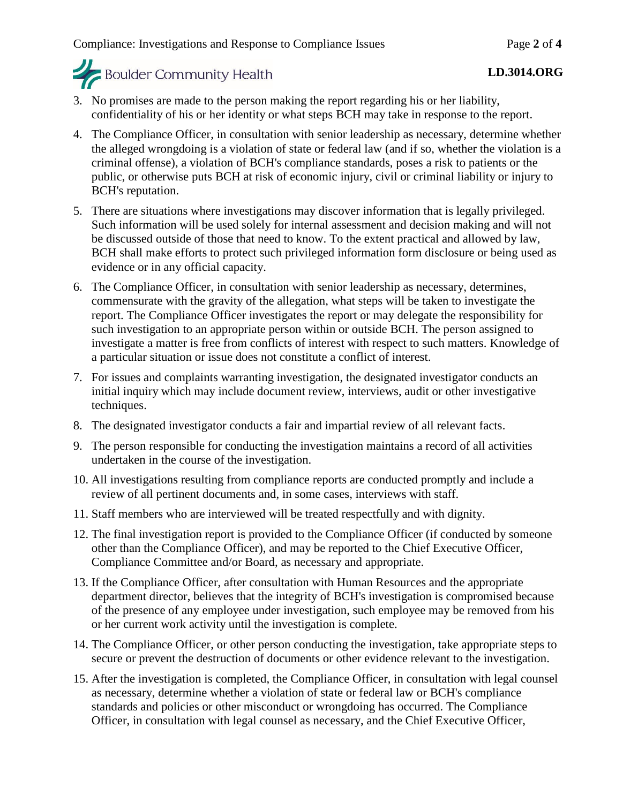- 3. No promises are made to the person making the report regarding his or her liability, confidentiality of his or her identity or what steps BCH may take in response to the report.
- 4. The Compliance Officer, in consultation with senior leadership as necessary, determine whether the alleged wrongdoing is a violation of state or federal law (and if so, whether the violation is a criminal offense), a violation of BCH's compliance standards, poses a risk to patients or the public, or otherwise puts BCH at risk of economic injury, civil or criminal liability or injury to BCH's reputation.
- 5. There are situations where investigations may discover information that is legally privileged. Such information will be used solely for internal assessment and decision making and will not be discussed outside of those that need to know. To the extent practical and allowed by law, BCH shall make efforts to protect such privileged information form disclosure or being used as evidence or in any official capacity.
- 6. The Compliance Officer, in consultation with senior leadership as necessary, determines, commensurate with the gravity of the allegation, what steps will be taken to investigate the report. The Compliance Officer investigates the report or may delegate the responsibility for such investigation to an appropriate person within or outside BCH. The person assigned to investigate a matter is free from conflicts of interest with respect to such matters. Knowledge of a particular situation or issue does not constitute a conflict of interest.
- 7. For issues and complaints warranting investigation, the designated investigator conducts an initial inquiry which may include document review, interviews, audit or other investigative techniques.
- 8. The designated investigator conducts a fair and impartial review of all relevant facts.
- 9. The person responsible for conducting the investigation maintains a record of all activities undertaken in the course of the investigation.
- 10. All investigations resulting from compliance reports are conducted promptly and include a review of all pertinent documents and, in some cases, interviews with staff.
- 11. Staff members who are interviewed will be treated respectfully and with dignity.
- 12. The final investigation report is provided to the Compliance Officer (if conducted by someone other than the Compliance Officer), and may be reported to the Chief Executive Officer, Compliance Committee and/or Board, as necessary and appropriate.
- 13. If the Compliance Officer, after consultation with Human Resources and the appropriate department director, believes that the integrity of BCH's investigation is compromised because of the presence of any employee under investigation, such employee may be removed from his or her current work activity until the investigation is complete.
- 14. The Compliance Officer, or other person conducting the investigation, take appropriate steps to secure or prevent the destruction of documents or other evidence relevant to the investigation.
- 15. After the investigation is completed, the Compliance Officer, in consultation with legal counsel as necessary, determine whether a violation of state or federal law or BCH's compliance standards and policies or other misconduct or wrongdoing has occurred. The Compliance Officer, in consultation with legal counsel as necessary, and the Chief Executive Officer,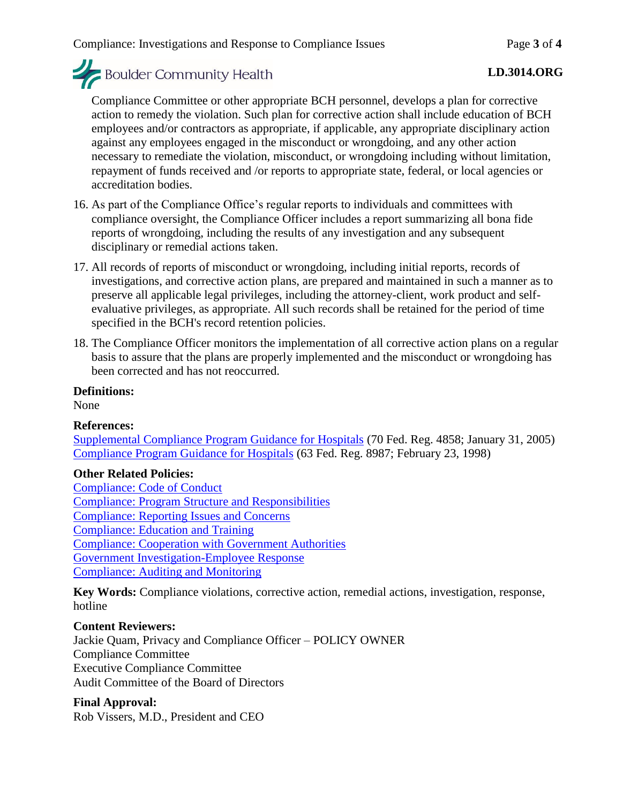#### **LD.3014.ORG**

Compliance Committee or other appropriate BCH personnel, develops a plan for corrective action to remedy the violation. Such plan for corrective action shall include education of BCH employees and/or contractors as appropriate, if applicable, any appropriate disciplinary action against any employees engaged in the misconduct or wrongdoing, and any other action necessary to remediate the violation, misconduct, or wrongdoing including without limitation, repayment of funds received and /or reports to appropriate state, federal, or local agencies or accreditation bodies.

- 16. As part of the Compliance Office's regular reports to individuals and committees with compliance oversight, the Compliance Officer includes a report summarizing all bona fide reports of wrongdoing, including the results of any investigation and any subsequent disciplinary or remedial actions taken.
- 17. All records of reports of misconduct or wrongdoing, including initial reports, records of investigations, and corrective action plans, are prepared and maintained in such a manner as to preserve all applicable legal privileges, including the attorney-client, work product and selfevaluative privileges, as appropriate. All such records shall be retained for the period of time specified in the BCH's record retention policies.
- 18. The Compliance Officer monitors the implementation of all corrective action plans on a regular basis to assure that the plans are properly implemented and the misconduct or wrongdoing has been corrected and has not reoccurred.

#### **Definitions:**

None

#### **References:**

[Supplemental Compliance Program Guidance for Hospitals](file://///INFSYS39/fraud/docs/complianceguidance/012705HospSupplementalGuidance.pdf) (70 Fed. Reg. 4858; January 31, 2005) [Compliance Program Guidance for Hospitals](file://///INFSYS39/authorities/docs/cpghosp.pdf) (63 Fed. Reg. 8987; February 23, 1998)

#### **Other Related Policies:**

[Compliance: Code of Conduct](https://mybch.sharepoint.com/policies/Clinical%20Policy%20Repository/Compliance-Code%20of%20Conduct.pdf) [Compliance: Program Structure and Responsibilities](https://mybch.sharepoint.com/policies/Clinical%20Policy%20Repository/Compliance-Program%20Structure%20and%20Responsibilities.pdf) [Compliance: Reporting Issues and Concerns](https://mybch.sharepoint.com/policies/Clinical%20Policy%20Repository/Compliance-Reporting%20Issues%20and%20Concerns.pdf) [Compliance: Education and Training](https://mybch.sharepoint.com/policies/Clinical%20Policy%20Repository/Compliance-Education%20and%20Training.pdf) [Compliance: Cooperation with Government Authorities](https://mybch.sharepoint.com/policies/Clinical%20Policy%20Repository/Compliance-Cooperation%20With%20Government%20Authorities.pdf) [Government Investigation-Employee Response](https://mybch.sharepoint.com/policies/Clinical%20Policy%20Repository/Government%20Investigation-Employee%20Response.pdf) [Compliance: Auditing and Monitoring](https://mybch.sharepoint.com/policies/Clinical%20Policy%20Repository/Compliance-Auditing%20and%20Monitoring.pdf)

**Key Words:** Compliance violations, corrective action, remedial actions, investigation, response, hotline

#### **Content Reviewers:**

Jackie Quam, Privacy and Compliance Officer – POLICY OWNER Compliance Committee Executive Compliance Committee Audit Committee of the Board of Directors

#### **Final Approval:**

Rob Vissers, M.D., President and CEO